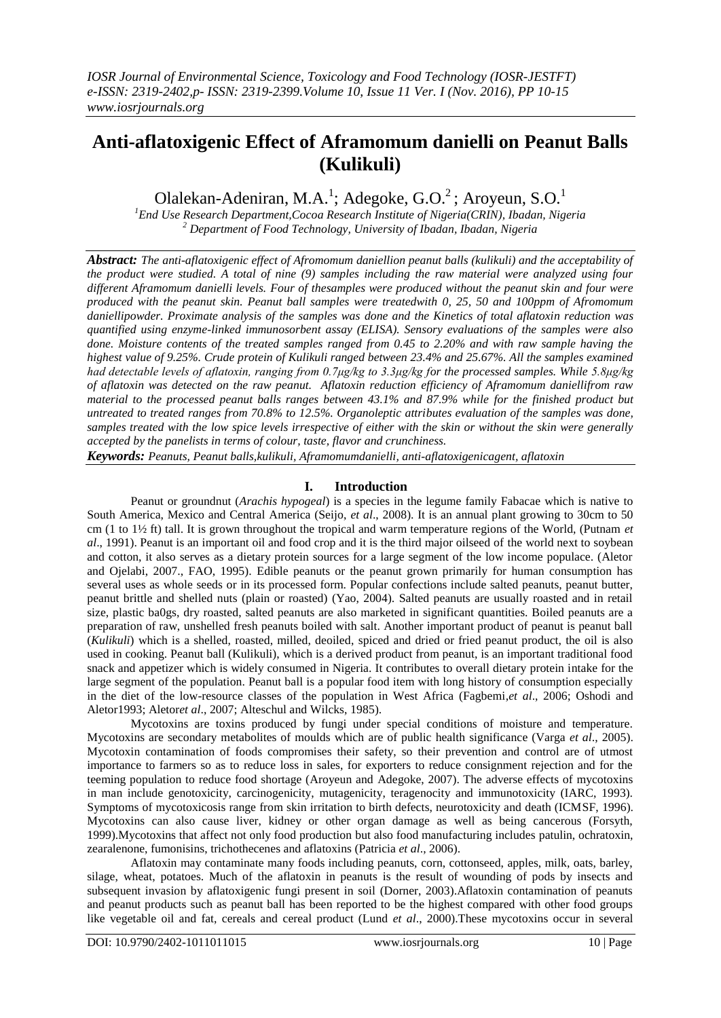# **Anti-aflatoxigenic Effect of Aframomum danielli on Peanut Balls (Kulikuli)**

Olalekan-Adeniran, M.A.<sup>1</sup>; Adegoke, G.O.<sup>2</sup>; Aroyeun, S.O.<sup>1</sup>

*<sup>1</sup>End Use Research Department,Cocoa Research Institute of Nigeria(CRIN), Ibadan, Nigeria <sup>2</sup> Department of Food Technology, University of Ibadan, Ibadan, Nigeria*

*Abstract: The anti-aflatoxigenic effect of Afromomum daniellion peanut balls (kulikuli) and the acceptability of the product were studied. A total of nine (9) samples including the raw material were analyzed using four different Aframomum danielli levels. Four of thesamples were produced without the peanut skin and four were produced with the peanut skin. Peanut ball samples were treatedwith 0, 25, 50 and 100ppm of Afromomum daniellipowder. Proximate analysis of the samples was done and the Kinetics of total aflatoxin reduction was quantified using enzyme-linked immunosorbent assay (ELISA). Sensory evaluations of the samples were also done. Moisture contents of the treated samples ranged from 0.45 to 2.20% and with raw sample having the highest value of 9.25%. Crude protein of Kulikuli ranged between 23.4% and 25.67%. All the samples examined had detectable levels of aflatoxin, ranging from 0.7μg/kg to 3.3μg/kg for the processed samples. While 5.8μg/kg of aflatoxin was detected on the raw peanut. Aflatoxin reduction efficiency of Aframomum daniellifrom raw material to the processed peanut balls ranges between 43.1% and 87.9% while for the finished product but untreated to treated ranges from 70.8% to 12.5%. Organoleptic attributes evaluation of the samples was done, samples treated with the low spice levels irrespective of either with the skin or without the skin were generally accepted by the panelists in terms of colour, taste, flavor and crunchiness.*

*Keywords: Peanuts, Peanut balls,kulikuli, Aframomumdanielli, anti-aflatoxigenicagent, aflatoxin*

## **I. Introduction**

Peanut or groundnut (*Arachis hypogeal*) is a species in the legume family Fabacae which is native to South America, Mexico and Central America (Seijo, *et al*., 2008). It is an annual plant growing to 30cm to 50 cm (1 to 1½ ft) tall. It is grown throughout the tropical and warm temperature regions of the World, (Putnam *et al*., 1991). Peanut is an important oil and food crop and it is the third major oilseed of the world next to soybean and cotton, it also serves as a dietary protein sources for a large segment of the low income populace. (Aletor and Ojelabi, 2007., FAO, 1995). Edible peanuts or the peanut grown primarily for human consumption has several uses as whole seeds or in its processed form. Popular confections include salted peanuts, peanut butter, peanut brittle and shelled nuts (plain or roasted) (Yao, 2004). Salted peanuts are usually roasted and in retail size, plastic ba0gs, dry roasted, salted peanuts are also marketed in significant quantities. Boiled peanuts are a preparation of raw, unshelled fresh peanuts boiled with salt. Another important product of peanut is peanut ball (*Kulikuli*) which is a shelled, roasted, milled, deoiled, spiced and dried or fried peanut product, the oil is also used in cooking. Peanut ball (Kulikuli), which is a derived product from peanut, is an important traditional food snack and appetizer which is widely consumed in Nigeria. It contributes to overall dietary protein intake for the large segment of the population. Peanut ball is a popular food item with long history of consumption especially in the diet of the low-resource classes of the population in West Africa (Fagbemi,*et al*., 2006; Oshodi and Aletor1993; Aletor*et al*., 2007; Alteschul and Wilcks, 1985).

Mycotoxins are toxins produced by fungi under special conditions of moisture and temperature. Mycotoxins are secondary metabolites of moulds which are of public health significance (Varga *et al*., 2005). Mycotoxin contamination of foods compromises their safety, so their prevention and control are of utmost importance to farmers so as to reduce loss in sales, for exporters to reduce consignment rejection and for the teeming population to reduce food shortage (Aroyeun and Adegoke, 2007). The adverse effects of mycotoxins in man include genotoxicity, carcinogenicity, mutagenicity, teragenocity and immunotoxicity (IARC, 1993). Symptoms of mycotoxicosis range from skin irritation to birth defects, neurotoxicity and death (ICMSF, 1996). Mycotoxins can also cause liver, kidney or other organ damage as well as being cancerous (Forsyth, 1999).Mycotoxins that affect not only food production but also food manufacturing includes patulin, ochratoxin, zearalenone, fumonisins, trichothecenes and aflatoxins (Patricia *et al*., 2006).

Aflatoxin may contaminate many foods including peanuts, corn, cottonseed, apples, milk, oats, barley, silage, wheat, potatoes. Much of the aflatoxin in peanuts is the result of wounding of pods by insects and subsequent invasion by aflatoxigenic fungi present in soil (Dorner, 2003).Aflatoxin contamination of peanuts and peanut products such as peanut ball has been reported to be the highest compared with other food groups like vegetable oil and fat, cereals and cereal product (Lund *et al*., 2000).These mycotoxins occur in several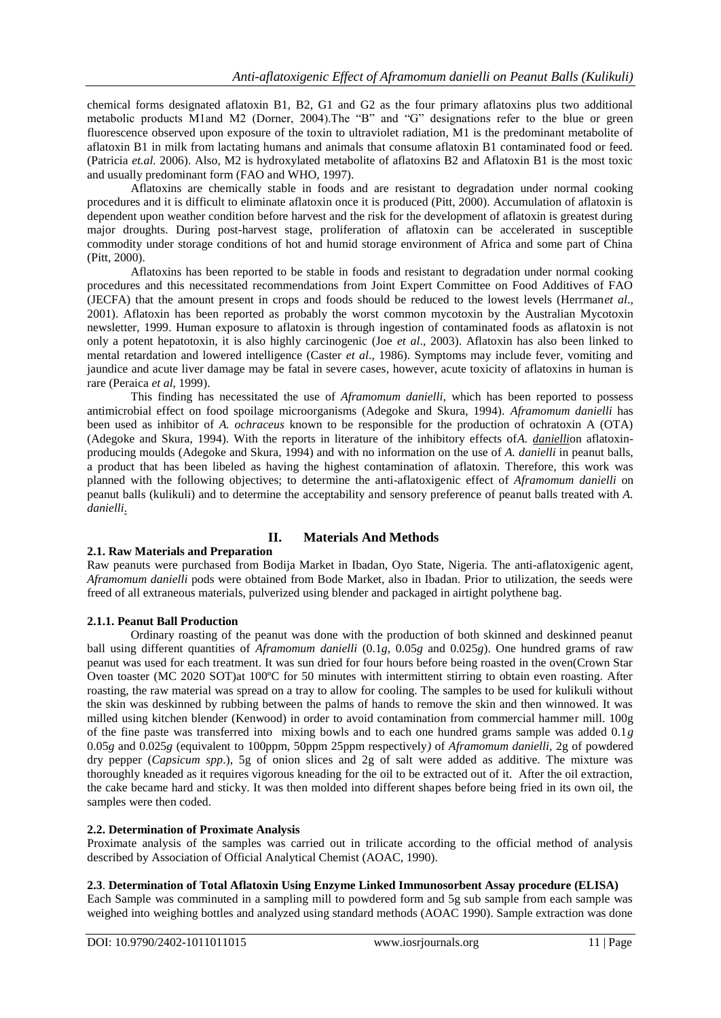chemical forms designated aflatoxin B1, B2, G1 and G2 as the four primary aflatoxins plus two additional metabolic products M1and M2 (Dorner, 2004).The "B" and "G" designations refer to the blue or green fluorescence observed upon exposure of the toxin to ultraviolet radiation, M1 is the predominant metabolite of aflatoxin B1 in milk from lactating humans and animals that consume aflatoxin B1 contaminated food or feed. (Patricia *et.al.* 2006). Also, M2 is hydroxylated metabolite of aflatoxins B2 and Aflatoxin B1 is the most toxic and usually predominant form (FAO and WHO, 1997).

Aflatoxins are chemically stable in foods and are resistant to degradation under normal cooking procedures and it is difficult to eliminate aflatoxin once it is produced (Pitt, 2000). Accumulation of aflatoxin is dependent upon weather condition before harvest and the risk for the development of aflatoxin is greatest during major droughts. During post-harvest stage, proliferation of aflatoxin can be accelerated in susceptible commodity under storage conditions of hot and humid storage environment of Africa and some part of China (Pitt, 2000).

Aflatoxins has been reported to be stable in foods and resistant to degradation under normal cooking procedures and this necessitated recommendations from Joint Expert Committee on Food Additives of FAO (JECFA) that the amount present in crops and foods should be reduced to the lowest levels (Herrman*et al*., 2001). Aflatoxin has been reported as probably the worst common mycotoxin by the Australian Mycotoxin newsletter, 1999. Human exposure to aflatoxin is through ingestion of contaminated foods as aflatoxin is not only a potent hepatotoxin, it is also highly carcinogenic (Joe *et al*., 2003). Aflatoxin has also been linked to mental retardation and lowered intelligence (Caster *et al*., 1986). Symptoms may include fever, vomiting and jaundice and acute liver damage may be fatal in severe cases, however, acute toxicity of aflatoxins in human is rare (Peraica *et al*, 1999).

This finding has necessitated the use of *Aframomum danielli*, which has been reported to possess antimicrobial effect on food spoilage microorganisms (Adegoke and Skura, 1994). *Aframomum danielli* has been used as inhibitor of *A. ochraceus* known to be responsible for the production of ochratoxin A (OTA) (Adegoke and Skura, 1994). With the reports in literature of the inhibitory effects of*A. danielli*on aflatoxinproducing moulds (Adegoke and Skura, 1994) and with no information on the use of *A. danielli* in peanut balls, a product that has been libeled as having the highest contamination of aflatoxin. Therefore, this work was planned with the following objectives; to determine the anti-aflatoxigenic effect of *Aframomum danielli* on peanut balls (kulikuli) and to determine the acceptability and sensory preference of peanut balls treated with *A. danielli*.

## **II. Materials And Methods**

## **2.1. Raw Materials and Preparation**

Raw peanuts were purchased from Bodija Market in Ibadan, Oyo State, Nigeria. The anti-aflatoxigenic agent, *Aframomum danielli* pods were obtained from Bode Market, also in Ibadan. Prior to utilization, the seeds were freed of all extraneous materials, pulverized using blender and packaged in airtight polythene bag.

## **2.1.1. Peanut Ball Production**

Ordinary roasting of the peanut was done with the production of both skinned and deskinned peanut ball using different quantities of *Aframomum danielli* (0.1*g*, 0.05*g* and 0.025*g*). One hundred grams of raw peanut was used for each treatment. It was sun dried for four hours before being roasted in the oven(Crown Star Oven toaster (MC 2020 SOT)at 100ºC for 50 minutes with intermittent stirring to obtain even roasting. After roasting, the raw material was spread on a tray to allow for cooling. The samples to be used for kulikuli without the skin was deskinned by rubbing between the palms of hands to remove the skin and then winnowed. It was milled using kitchen blender (Kenwood) in order to avoid contamination from commercial hammer mill. 100g of the fine paste was transferred into mixing bowls and to each one hundred grams sample was added 0.1*g* 0.05*g* and 0.025*g* (equivalent to 100ppm, 50ppm 25ppm respectively*)* of *Aframomum danielli*, 2g of powdered dry pepper (*Capsicum spp*.), 5g of onion slices and 2g of salt were added as additive. The mixture was thoroughly kneaded as it requires vigorous kneading for the oil to be extracted out of it. After the oil extraction, the cake became hard and sticky. It was then molded into different shapes before being fried in its own oil, the samples were then coded.

## **2.2. Determination of Proximate Analysis**

Proximate analysis of the samples was carried out in trilicate according to the official method of analysis described by Association of Official Analytical Chemist (AOAC, 1990).

## **2.3**. **Determination of Total Aflatoxin Using Enzyme Linked Immunosorbent Assay procedure (ELISA)**

Each Sample was comminuted in a sampling mill to powdered form and 5g sub sample from each sample was weighed into weighing bottles and analyzed using standard methods (AOAC 1990). Sample extraction was done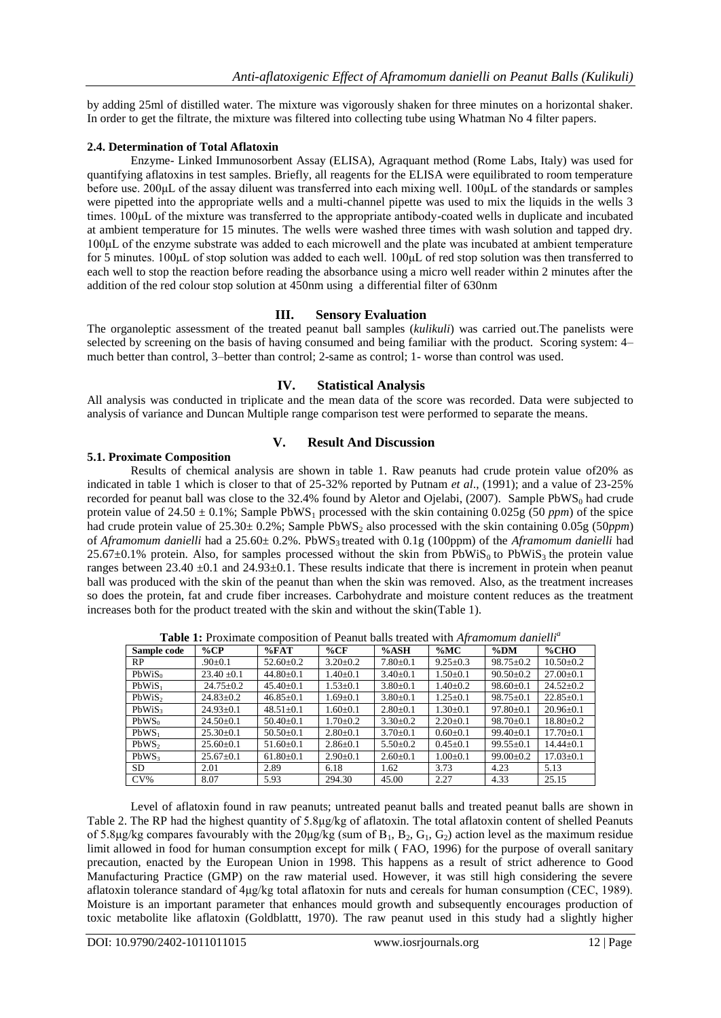by adding 25ml of distilled water. The mixture was vigorously shaken for three minutes on a horizontal shaker. In order to get the filtrate, the mixture was filtered into collecting tube using Whatman No 4 filter papers.

#### **2.4. Determination of Total Aflatoxin**

Enzyme- Linked Immunosorbent Assay (ELISA), Agraquant method (Rome Labs, Italy) was used for quantifying aflatoxins in test samples. Briefly, all reagents for the ELISA were equilibrated to room temperature before use. 200μL of the assay diluent was transferred into each mixing well. 100μL of the standards or samples were pipetted into the appropriate wells and a multi-channel pipette was used to mix the liquids in the wells 3 times. 100μL of the mixture was transferred to the appropriate antibody-coated wells in duplicate and incubated at ambient temperature for 15 minutes. The wells were washed three times with wash solution and tapped dry. 100μL of the enzyme substrate was added to each microwell and the plate was incubated at ambient temperature for 5 minutes. 100μL of stop solution was added to each well. 100μL of red stop solution was then transferred to each well to stop the reaction before reading the absorbance using a micro well reader within 2 minutes after the addition of the red colour stop solution at 450nm using a differential filter of 630nm

#### **III. Sensory Evaluation**

The organoleptic assessment of the treated peanut ball samples (*kulikuli*) was carried out.The panelists were selected by screening on the basis of having consumed and being familiar with the product. Scoring system: 4– much better than control, 3–better than control; 2-same as control; 1- worse than control was used.

## **IV. Statistical Analysis**

All analysis was conducted in triplicate and the mean data of the score was recorded. Data were subjected to analysis of variance and Duncan Multiple range comparison test were performed to separate the means.

## **V. Result And Discussion**

#### **5.1. Proximate Composition**

Results of chemical analysis are shown in table 1. Raw peanuts had crude protein value of20% as indicated in table 1 which is closer to that of 25-32% reported by Putnam *et al*., (1991); and a value of 23-25% recorded for peanut ball was close to the 32.4% found by Aletor and Ojelabi,  $(2007)$ . Sample PbWS<sub>0</sub> had crude protein value of 24.50  $\pm$  0.1%; Sample PbWS<sub>1</sub> processed with the skin containing 0.025g (50 *ppm*) of the spice had crude protein value of 25.30± 0.2%; Sample PbWS<sub>2</sub> also processed with the skin containing 0.05g (50*ppm*) of *Aframomum danielli* had a 25.60± 0.2%. PbWS3 treated with 0.1g (100ppm) of the *Aframomum danielli* had  $25.67\pm0.1\%$  protein. Also, for samples processed without the skin from PbWiS<sub>0</sub> to PbWiS<sub>3</sub> the protein value ranges between  $23.40 \pm 0.1$  and  $24.93 \pm 0.1$ . These results indicate that there is increment in protein when peanut ball was produced with the skin of the peanut than when the skin was removed. Also, as the treatment increases so does the protein, fat and crude fiber increases. Carbohydrate and moisture content reduces as the treatment increases both for the product treated with the skin and without the skin(Table 1).

| Sample code        | $\%$ CP         | %FAT            | $\%$ CF        | %ASH           | $\%MC$         | $\%$ DM         | %CHO            |
|--------------------|-----------------|-----------------|----------------|----------------|----------------|-----------------|-----------------|
| RP.                | $.90 \pm 0.1$   | $52.60 \pm 0.2$ | $3.20 \pm 0.2$ | $7.80 \pm 0.1$ | $9.25 \pm 0.3$ | $98.75 \pm 0.2$ | $10.50 \pm 0.2$ |
| $PbWiS_0$          | $23.40 \pm 0.1$ | $44.80 \pm 0.1$ | $1.40 \pm 0.1$ | $3.40 \pm 0.1$ | $1.50 \pm 0.1$ | $90.50 \pm 0.2$ | $27.00 \pm 0.1$ |
| $PbWiS_1$          | $24.75 \pm 0.2$ | $45.40 \pm 0.1$ | $1.53 \pm 0.1$ | $3.80 \pm 0.1$ | $1.40 \pm 0.2$ | $98.60 \pm 0.1$ | $24.52 \pm 0.2$ |
| PbWiS <sub>2</sub> | $24.83 \pm 0.2$ | $46.85 \pm 0.1$ | $1.69 \pm 0.1$ | $3.80 \pm 0.1$ | $1.25 \pm 0.1$ | $98.75 \pm 0.1$ | $22.85 \pm 0.1$ |
| PbWiS <sub>3</sub> | $24.93 \pm 0.1$ | $48.51 \pm 0.1$ | $1.60 \pm 0.1$ | $2.80 \pm 0.1$ | $1.30 \pm 0.1$ | $97.80 \pm 0.1$ | $20.96 \pm 0.1$ |
| $PbWS_0$           | $24.50 \pm 0.1$ | $50.40 \pm 0.1$ | $1.70 \pm 0.2$ | $3.30 \pm 0.2$ | $2.20 \pm 0.1$ | $98.70 \pm 0.1$ | $18.80 \pm 0.2$ |
| $PbWS_1$           | $25.30 \pm 0.1$ | $50.50 \pm 0.1$ | $2.80+0.1$     | $3.70 \pm 0.1$ | $0.60 \pm 0.1$ | $99.40 \pm 0.1$ | $17.70 \pm 0.1$ |
| PbWS <sub>2</sub>  | $25.60 \pm 0.1$ | $51.60 \pm 0.1$ | $2.86 \pm 0.1$ | $5.50 \pm 0.2$ | $0.45 \pm 0.1$ | $99.55 \pm 0.1$ | $14.44 \pm 0.1$ |
| PbWS <sub>3</sub>  | $25.67 \pm 0.1$ | $61.80 \pm 0.1$ | $2.90 \pm 0.1$ | $2.60 \pm 0.1$ | $1.00 \pm 0.1$ | $99.00 \pm 0.2$ | $17.03 \pm 0.1$ |
| SD.                | 2.01            | 2.89            | 6.18           | 1.62           | 3.73           | 4.23            | 5.13            |
| $CV\%$             | 8.07            | 5.93            | 294.30         | 45.00          | 2.27           | 4.33            | 25.15           |

**Table 1:** Proximate composition of Peanut balls treated with *Aframomum danielli<sup>a</sup>*

Level of aflatoxin found in raw peanuts; untreated peanut balls and treated peanut balls are shown in Table 2. The RP had the highest quantity of 5.8µg/kg of aflatoxin. The total aflatoxin content of shelled Peanuts of 5.8μg/kg compares favourably with the 20μg/kg (sum of  $B_1$ ,  $B_2$ ,  $G_1$ ,  $G_2$ ) action level as the maximum residue limit allowed in food for human consumption except for milk ( FAO, 1996) for the purpose of overall sanitary precaution, enacted by the European Union in 1998. This happens as a result of strict adherence to Good Manufacturing Practice (GMP) on the raw material used. However, it was still high considering the severe aflatoxin tolerance standard of 4μg/kg total aflatoxin for nuts and cereals for human consumption (CEC, 1989). Moisture is an important parameter that enhances mould growth and subsequently encourages production of toxic metabolite like aflatoxin (Goldblattt, 1970). The raw peanut used in this study had a slightly higher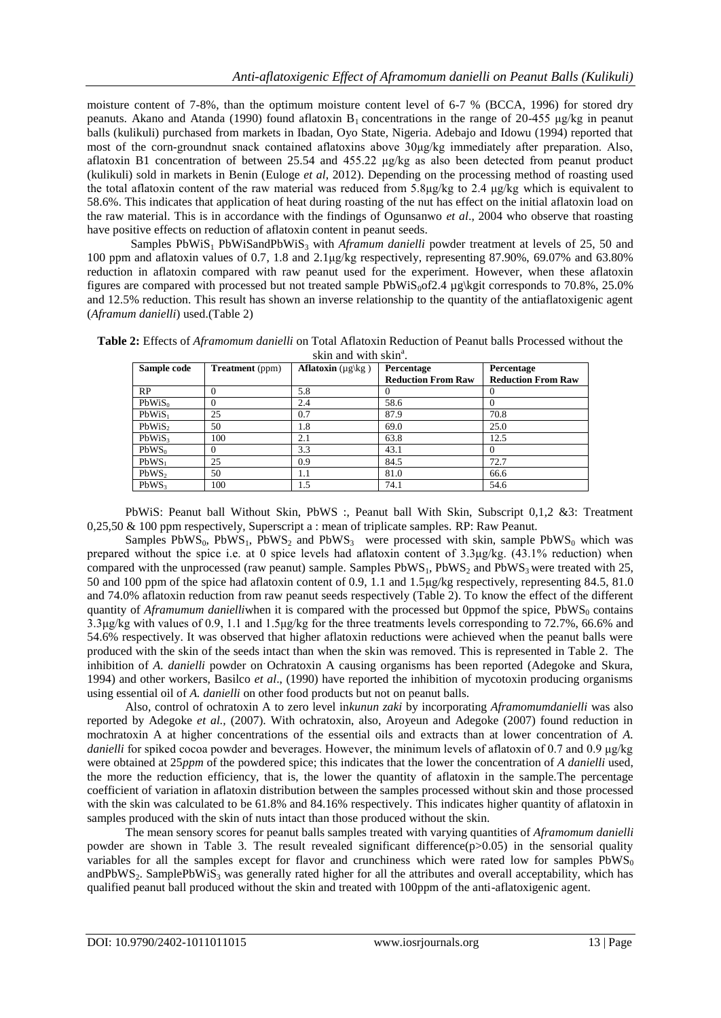moisture content of 7-8%, than the optimum moisture content level of 6-7 % (BCCA, 1996) for stored dry peanuts. Akano and Atanda (1990) found aflatoxin  $B_1$  concentrations in the range of 20-455 μg/kg in peanut balls (kulikuli) purchased from markets in Ibadan, Oyo State, Nigeria. Adebajo and Idowu (1994) reported that most of the corn-groundnut snack contained aflatoxins above 30μg/kg immediately after preparation. Also, aflatoxin B1 concentration of between 25.54 and 455.22 μg/kg as also been detected from peanut product (kulikuli) sold in markets in Benin (Euloge *et al*, 2012). Depending on the processing method of roasting used the total aflatoxin content of the raw material was reduced from 5.8 $\mu$ g/kg to 2.4  $\mu$ g/kg which is equivalent to 58.6%. This indicates that application of heat during roasting of the nut has effect on the initial aflatoxin load on the raw material. This is in accordance with the findings of Ogunsanwo *et al*., 2004 who observe that roasting have positive effects on reduction of aflatoxin content in peanut seeds.

Samples PbWiS<sub>1</sub> PbWiSandPbWiS<sub>3</sub> with *Aframum danielli* powder treatment at levels of 25, 50 and 100 ppm and aflatoxin values of 0.7, 1.8 and 2.1μg/kg respectively, representing 87.90%, 69.07% and 63.80% reduction in aflatoxin compared with raw peanut used for the experiment. However, when these aflatoxin figures are compared with processed but not treated sample  $PbWiS<sub>0</sub>of2.4 \mu g\keta t$  corresponds to 70.8%, 25.0% and 12.5% reduction. This result has shown an inverse relationship to the quantity of the antiaflatoxigenic agent (*Aframum danielli*) used.(Table 2)

| Table 2: Effects of <i>Aframomum danielli</i> on Total Aflatoxin Reduction of Peanut balls Processed without the |  |
|------------------------------------------------------------------------------------------------------------------|--|
| skin and with skin <sup>a</sup> .                                                                                |  |

| Sample code        | <b>Treatment</b> (ppm) | <b>Aflatoxin</b> ( $\mu$ g\kg) | Percentage                | Percentage                |
|--------------------|------------------------|--------------------------------|---------------------------|---------------------------|
|                    |                        |                                | <b>Reduction From Raw</b> | <b>Reduction From Raw</b> |
| RP                 |                        | 5.8                            |                           |                           |
| PbWiS <sub>0</sub> |                        | 2.4                            | 58.6                      |                           |
| $PbWiS_1$          | 25                     | 0.7                            | 87.9                      | 70.8                      |
| PbWiS <sub>2</sub> | 50                     | 1.8                            | 69.0                      | 25.0                      |
| PbWiS <sub>3</sub> | 100                    | 2.1                            | 63.8                      | 12.5                      |
| $PbWS_0$           |                        | 3.3                            | 43.1                      |                           |
| $PbWS_1$           | 25                     | 0.9                            | 84.5                      | 72.7                      |
| PbWS               | 50                     | 1.1                            | 81.0                      | 66.6                      |
| PbWS <sub>3</sub>  | 100                    | 1.5                            | 74.1                      | 54.6                      |

PbWiS: Peanut ball Without Skin, PbWS :, Peanut ball With Skin, Subscript 0,1,2 &3: Treatment 0,25,50 & 100 ppm respectively, Superscript a : mean of triplicate samples. RP: Raw Peanut.

Samples  $PbWS_0$ ,  $PbWS_1$ ,  $PbWS_2$  and  $PbWS_3$  were processed with skin, sample  $PbWS_0$  which was prepared without the spice i.e. at 0 spice levels had aflatoxin content of 3.3μg/kg. (43.1% reduction) when compared with the unprocessed (raw peanut) sample. Samples  $PbWS<sub>1</sub>$ ,  $PbWS<sub>2</sub>$  and  $PbWS<sub>3</sub>$  were treated with 25, 50 and 100 ppm of the spice had aflatoxin content of 0.9, 1.1 and 1.5μg/kg respectively, representing 84.5, 81.0 and 74.0% aflatoxin reduction from raw peanut seeds respectively (Table 2). To know the effect of the different quantity of *Aframumum danielli*when it is compared with the processed but 0ppmof the spice, PbWS<sub>0</sub> contains 3.3μg/kg with values of 0.9, 1.1 and 1.5μg/kg for the three treatments levels corresponding to 72.7%, 66.6% and 54.6% respectively. It was observed that higher aflatoxin reductions were achieved when the peanut balls were produced with the skin of the seeds intact than when the skin was removed. This is represented in Table 2. The inhibition of *A. danielli* powder on Ochratoxin A causing organisms has been reported (Adegoke and Skura, 1994) and other workers, Basilco *et al*., (1990) have reported the inhibition of mycotoxin producing organisms using essential oil of *A. danielli* on other food products but not on peanut balls.

Also, control of ochratoxin A to zero level in*kunun zaki* by incorporating *Aframomumdanielli* was also reported by Adegoke *et al.,* (2007). With ochratoxin, also, Aroyeun and Adegoke (2007) found reduction in mochratoxin A at higher concentrations of the essential oils and extracts than at lower concentration of *A. danielli* for spiked cocoa powder and beverages. However, the minimum levels of aflatoxin of 0.7 and 0.9 μg/kg were obtained at 25*ppm* of the powdered spice; this indicates that the lower the concentration of *A danielli* used, the more the reduction efficiency, that is, the lower the quantity of aflatoxin in the sample.The percentage coefficient of variation in aflatoxin distribution between the samples processed without skin and those processed with the skin was calculated to be 61.8% and 84.16% respectively. This indicates higher quantity of aflatoxin in samples produced with the skin of nuts intact than those produced without the skin.

The mean sensory scores for peanut balls samples treated with varying quantities of *Aframomum danielli*  powder are shown in Table 3. The result revealed significant difference $(p>0.05)$  in the sensorial quality variables for all the samples except for flavor and crunchiness which were rated low for samples  $PbWS_0$ andPbWS<sub>2</sub>. SamplePbWiS<sub>3</sub> was generally rated higher for all the attributes and overall acceptability, which has qualified peanut ball produced without the skin and treated with 100ppm of the anti-aflatoxigenic agent.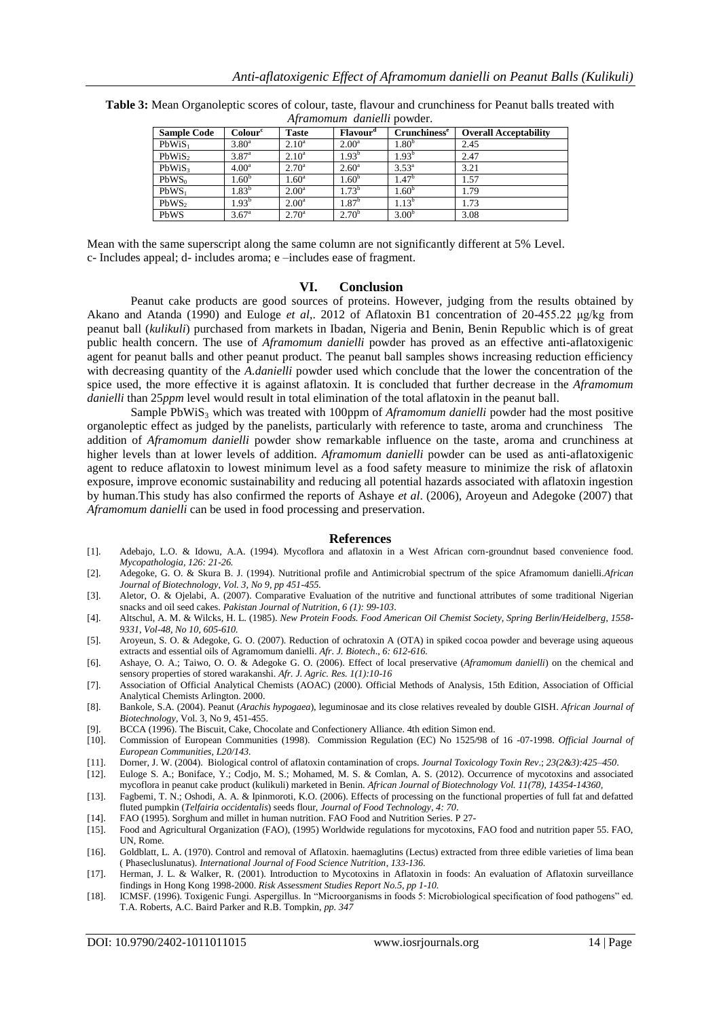| <b>Sample Code</b> | Colour <sup>c</sup> | <b>Taste</b>      | <b>Flavour</b> <sup><i>d</i></sup> | Crunchiness <sup>e</sup> | <b>Overall Acceptability</b> |
|--------------------|---------------------|-------------------|------------------------------------|--------------------------|------------------------------|
| PbWiS <sub>1</sub> | $3.80^{\circ}$      | $2.10^{\rm a}$    | $2.00^{\rm a}$                     | .80 <sup>b</sup>         | 2.45                         |
| PbWiS <sub>2</sub> | $3.87^{\circ}$      | $2.10^a$          | $1.93^{\rm b}$                     | $1.93^{\rm b}$           | 2.47                         |
| PbWiS <sub>3</sub> | 4.00 <sup>a</sup>   | $2.70^{\rm a}$    | $2.60^{\circ}$                     | $3.53^{a}$               | 3.21                         |
| $PbWS_0$           | 1.60 <sup>b</sup>   | 1.60 <sup>a</sup> | 1.60 <sup>b</sup>                  | .47 <sup>b</sup>         | 1.57                         |
| $PbWS_1$           | $1.83^{\rm b}$      | $2.00^{\rm a}$    | $1.73^{b}$                         | .60 <sup>b</sup>         | 1.79                         |
| PbWS <sub>2</sub>  | 1.93 <sup>b</sup>   | $2.00^{\rm a}$    | $1.87^{\rm b}$                     | $1.13^{b}$               | 1.73                         |
| PbWS               | $3.67^{\circ}$      | $2.70^{\rm a}$    | $2.70^{b}$                         | 3.00 <sup>b</sup>        | 3.08                         |

**Table 3:** Mean Organoleptic scores of colour, taste, flavour and crunchiness for Peanut balls treated with *Aframomum danielli* powder.

Mean with the same superscript along the same column are not significantly different at 5% Level. c- Includes appeal; d- includes aroma; e –includes ease of fragment.

## **VI. Conclusion**

Peanut cake products are good sources of proteins. However, judging from the results obtained by Akano and Atanda (1990) and Euloge *et al*,. 2012 of Aflatoxin B1 concentration of 20-455.22 μg/kg from peanut ball (*kulikuli*) purchased from markets in Ibadan, Nigeria and Benin, Benin Republic which is of great public health concern. The use of *Aframomum danielli* powder has proved as an effective anti-aflatoxigenic agent for peanut balls and other peanut product. The peanut ball samples shows increasing reduction efficiency with decreasing quantity of the *A.danielli* powder used which conclude that the lower the concentration of the spice used, the more effective it is against aflatoxin. It is concluded that further decrease in the *Aframomum danielli* than 25*ppm* level would result in total elimination of the total aflatoxin in the peanut ball.

Sample PbWiS3 which was treated with 100ppm of *Aframomum danielli* powder had the most positive organoleptic effect as judged by the panelists, particularly with reference to taste, aroma and crunchiness The addition of *Aframomum danielli* powder show remarkable influence on the taste, aroma and crunchiness at higher levels than at lower levels of addition. *Aframomum danielli* powder can be used as anti-aflatoxigenic agent to reduce aflatoxin to lowest minimum level as a food safety measure to minimize the risk of aflatoxin exposure, improve economic sustainability and reducing all potential hazards associated with aflatoxin ingestion by human.This study has also confirmed the reports of Ashaye *et al*. (2006), Aroyeun and Adegoke (2007) that *Aframomum danielli* can be used in food processing and preservation.

#### **References**

- [1]. Adebajo, L.O. & Idowu, A.A. (1994). Mycoflora and aflatoxin in a West African corn-groundnut based convenience food. *Mycopathologia, 126: 21-26.*
- [2]. Adegoke, G. O. & Skura B. J. (1994). Nutritional profile and Antimicrobial spectrum of the spice Aframomum danielli.*African Journal of Biotechnology*, *Vol. 3, No 9, pp 451-455.*
- [3]. Aletor, O. & Ojelabi, A. (2007). Comparative Evaluation of the nutritive and functional attributes of some traditional Nigerian snacks and oil seed cakes. *Pakistan Journal of Nutrition*, *6 (1): 99-103*.
- [4]. Altschul, A. M. & Wilcks, H. L. (1985). *New Protein Foods. Food American Oil Chemist Society, Spring Berlin/Heidelberg, 1558- 9331, Vol-48, No 10, 605-610.*
- [5]. Aroyeun, S. O. & Adegoke, G. O. (2007). Reduction of ochratoxin A (OTA) in spiked cocoa powder and beverage using aqueous extracts and essential oils of Agramomum danielli. *Afr. J. Biotech*., *6: 612-616.*
- [6]. Ashaye, O. A.; Taiwo, O. O. & Adegoke G. O. (2006). Effect of local preservative (*Aframomum danielli*) on the chemical and sensory properties of stored warakanshi. *Afr. J. Agric. Res. 1(1):10-16*
- [7]. Association of Official Analytical Chemists (AOAC) (2000). Official Methods of Analysis, 15th Edition, Association of Official Analytical Chemists Arlington. 2000.
- [8]. Bankole, S.A. (2004). Peanut (*Arachis hypogaea*), leguminosae and its close relatives revealed by double GISH. *African Journal of Biotechnology*, Vol. 3, No 9, 451-455.
- [9]. BCCA (1996). The Biscuit, Cake, Chocolate and Confectionery Alliance. 4th edition Simon end.
- [10]. Commission of European Communities (1998). Commission Regulation (EC) No 1525/98 of 16 -07-1998. *Official Journal of European Communities, L20/143.*
- [11]. Dorner, J. W. (2004). Biological control of aflatoxin contamination of crops. *Journal Toxicology Toxin Rev*.; *23(2&3):425–450*.
- Euloge S. A.; Boniface, Y.; Codjo, M. S.; Mohamed, M. S. & Comlan, A. S. (2012). Occurrence of mycotoxins and associated
- mycoflora in peanut cake product (kulikuli) marketed in Benin. *African Journal of Biotechnology Vol. 11(78), 14354-14360,* [13]. Fagbemi, T. N.; Oshodi, A. A. & Ipinmoroti, K.O. (2006). Effects of processing on the functional properties of full fat and defatted fluted pumpkin (*Telfairia occidentalis*) seeds flour, *Journal of Food Technology*, *4: 70*.
- [14]. FAO (1995). Sorghum and millet in human nutrition. FAO Food and Nutrition Series. P 27-
- [15]. Food and Agricultural Organization (FAO), (1995) Worldwide regulations for mycotoxins, FAO food and nutrition paper 55. FAO, UN, Rome.
- [16]. Goldblatt, L. A. (1970). Control and removal of Aflatoxin. haemaglutins (Lectus) extracted from three edible varieties of lima bean ( Phasecluslunatus). *International Journal of Food Science Nutrition*, *133-136.*
- [17]. Herman, J. L. & Walker, R. (2001). Introduction to Mycotoxins in Aflatoxin in foods: An evaluation of Aflatoxin surveillance findings in Hong Kong 1998-2000. *Risk Assessment Studies Report No.5, pp 1-10.*
- [18]. ICMSF. (1996). Toxigenic Fungi. Aspergillus. In "Microorganisms in foods 5: Microbiological specification of food pathogens" ed. T.A. Roberts, A.C. Baird Parker and R.B. Tompkin, *pp. 347*